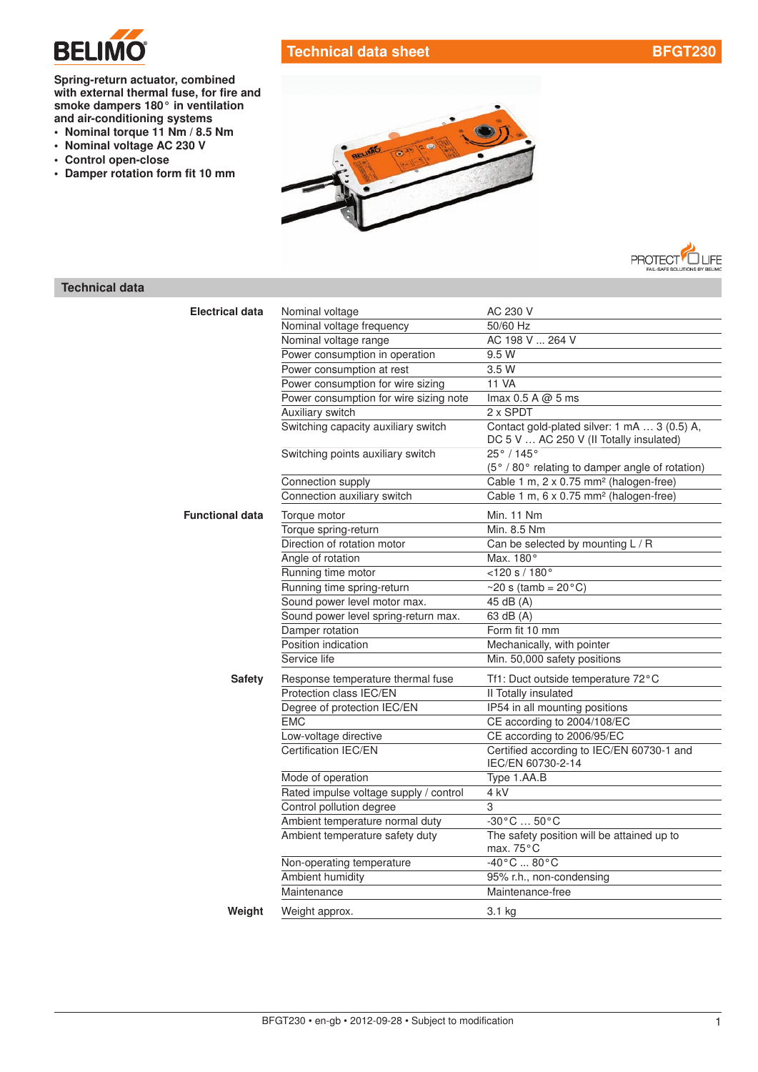

# Technical data sheet [BFGT230](http://planetaklimata.com.ua/catalog/lineup/?goodsid=686&path=root-22-45-153-686)

Spring-return actuator, combined with external thermal fuse, for fire and smoke dampers 180° in ventilation and [air-conditioning systems](http://planetaklimata.com.ua/)

- Nominal torque 11 Nm / 8.5 Nm
- Nominal voltage AC 230 V
- Control open-close
- Damper rotation form fit 10 mm





## Technical data

| <b>Electrical data</b> | Nominal voltage                        | AC 230 V                                                                                |
|------------------------|----------------------------------------|-----------------------------------------------------------------------------------------|
|                        | Nominal voltage frequency              | 50/60 Hz                                                                                |
|                        | Nominal voltage range                  | AC 198 V  264 V                                                                         |
|                        | Power consumption in operation         | 9.5 W                                                                                   |
|                        | Power consumption at rest              | 3.5W                                                                                    |
|                        | Power consumption for wire sizing      | <b>11 VA</b>                                                                            |
|                        | Power consumption for wire sizing note | Imax 0.5 A @ 5 ms                                                                       |
|                        | Auxiliary switch                       | 2 x SPDT                                                                                |
|                        | Switching capacity auxiliary switch    | Contact gold-plated silver: 1 mA  3 (0.5) A,<br>DC 5 V  AC 250 V (II Totally insulated) |
|                        | Switching points auxiliary switch      | 25°/145°<br>(5° / 80° relating to damper angle of rotation)                             |
|                        | Connection supply                      | Cable 1 m, 2 x 0.75 mm <sup>2</sup> (halogen-free)                                      |
|                        | Connection auxiliary switch            | Cable 1 m, 6 x 0.75 mm <sup>2</sup> (halogen-free)                                      |
| <b>Functional data</b> | Torque motor                           | <b>Min. 11 Nm</b>                                                                       |
|                        | Torque spring-return                   | Min. 8.5 Nm                                                                             |
|                        | Direction of rotation motor            | Can be selected by mounting L / R                                                       |
|                        | Angle of rotation                      | Max. 180°                                                                               |
|                        | Running time motor                     | $<$ 120 s / 180 $^{\circ}$                                                              |
|                        | Running time spring-return             | $\sim$ 20 s (tamb = 20 $\degree$ C)                                                     |
|                        | Sound power level motor max.           | 45 dB (A)                                                                               |
|                        | Sound power level spring-return max.   | 63 dB (A)                                                                               |
|                        | Damper rotation                        | Form fit 10 mm                                                                          |
|                        | Position indication                    | Mechanically, with pointer                                                              |
|                        | Service life                           | Min. 50,000 safety positions                                                            |
| <b>Safety</b>          | Response temperature thermal fuse      | Tf1: Duct outside temperature 72°C                                                      |
|                        | Protection class IEC/EN                | II Totally insulated                                                                    |
|                        | Degree of protection IEC/EN            | IP54 in all mounting positions                                                          |
|                        | <b>EMC</b>                             | CE according to 2004/108/EC                                                             |
|                        | Low-voltage directive                  | CE according to 2006/95/EC                                                              |
|                        | Certification IEC/EN                   | Certified according to IEC/EN 60730-1 and<br>IEC/EN 60730-2-14                          |
|                        | Mode of operation                      | Type 1.AA.B                                                                             |
|                        | Rated impulse voltage supply / control | 4 kV                                                                                    |
|                        | Control pollution degree               | 3                                                                                       |
|                        | Ambient temperature normal duty        | $-30^{\circ}$ C $50^{\circ}$ C                                                          |
|                        | Ambient temperature safety duty        | The safety position will be attained up to<br>max. 75°C                                 |
|                        | Non-operating temperature              | $-40\degree$ C $80\degree$ C                                                            |
|                        | Ambient humidity                       | 95% r.h., non-condensing                                                                |
|                        | Maintenance                            | Maintenance-free                                                                        |
| Weight                 | Weight approx.                         | 3.1 kg                                                                                  |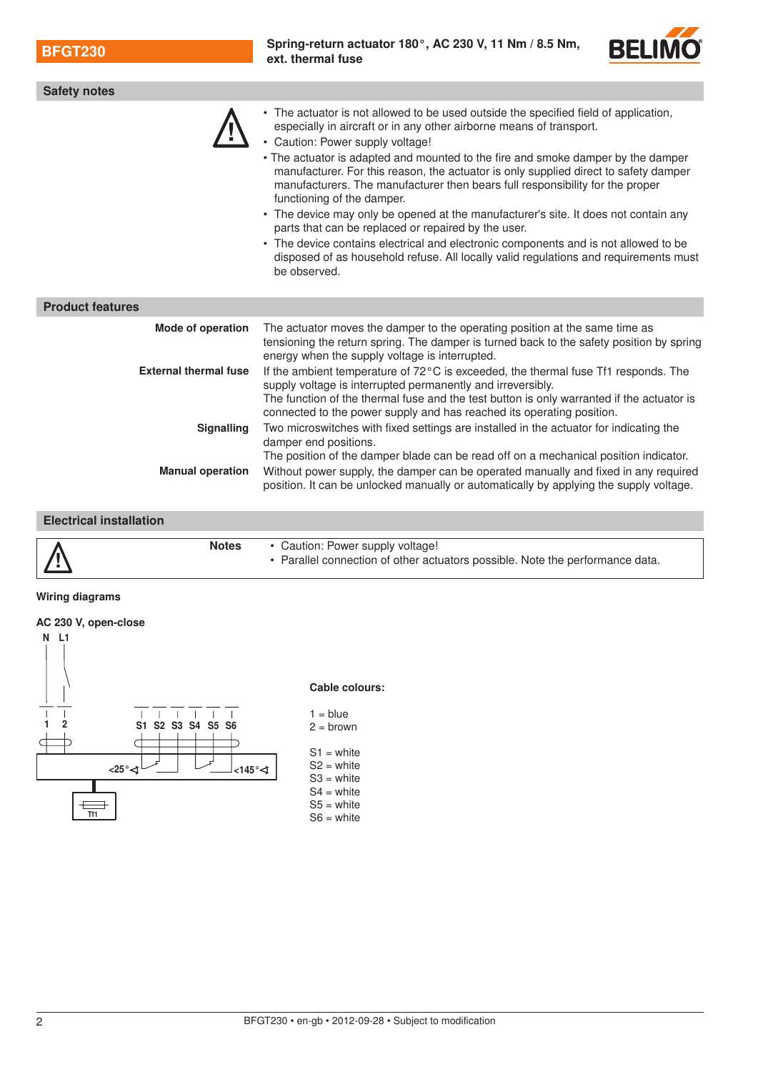BFGT230 [Spring-return actuator](http://planetaklimata.com.ua/katalog-proizvoditeli/Belimo/) 180°, AC 230 V, 11 Nm / 8.5 Nm, ext. thermal fuse



| <b>Safety notes</b>                               |                                                                                                                                                                                                                                                                                                                                                                                                                                                                                                                                                                                                                                                                                                                                                                                                                                         |  |  |
|---------------------------------------------------|-----------------------------------------------------------------------------------------------------------------------------------------------------------------------------------------------------------------------------------------------------------------------------------------------------------------------------------------------------------------------------------------------------------------------------------------------------------------------------------------------------------------------------------------------------------------------------------------------------------------------------------------------------------------------------------------------------------------------------------------------------------------------------------------------------------------------------------------|--|--|
|                                                   | • The actuator is not allowed to be used outside the specified field of application,<br>especially in aircraft or in any other airborne means of transport.<br>• Caution: Power supply voltage!<br>• The actuator is adapted and mounted to the fire and smoke damper by the damper<br>manufacturer. For this reason, the actuator is only supplied direct to safety damper<br>manufacturers. The manufacturer then bears full responsibility for the proper<br>functioning of the damper.<br>• The device may only be opened at the manufacturer's site. It does not contain any<br>parts that can be replaced or repaired by the user.<br>• The device contains electrical and electronic components and is not allowed to be<br>disposed of as household refuse. All locally valid regulations and requirements must<br>be observed. |  |  |
| <b>Product features</b>                           |                                                                                                                                                                                                                                                                                                                                                                                                                                                                                                                                                                                                                                                                                                                                                                                                                                         |  |  |
| Mode of operation<br><b>External thermal fuse</b> | The actuator moves the damper to the operating position at the same time as<br>tensioning the return spring. The damper is turned back to the safety position by spring<br>energy when the supply voltage is interrupted.<br>If the ambient temperature of 72°C is exceeded, the thermal fuse Tf1 responds. The<br>supply voltage is interrupted permanently and irreversibly.<br>The function of the thermal fuse and the test button is only warranted if the actuator is<br>connected to the power supply and has reached its operating position.                                                                                                                                                                                                                                                                                    |  |  |
| <b>Signalling</b>                                 | Two microswitches with fixed settings are installed in the actuator for indicating the<br>damper end positions.                                                                                                                                                                                                                                                                                                                                                                                                                                                                                                                                                                                                                                                                                                                         |  |  |
| <b>Manual operation</b>                           | The position of the damper blade can be read off on a mechanical position indicator.<br>Without power supply, the damper can be operated manually and fixed in any required<br>position. It can be unlocked manually or automatically by applying the supply voltage.                                                                                                                                                                                                                                                                                                                                                                                                                                                                                                                                                                   |  |  |

#### Electrical installation



#### Wiring diagrams





### 2 BFGT230 • en-gb • 2012-09-28 • Subject to modification